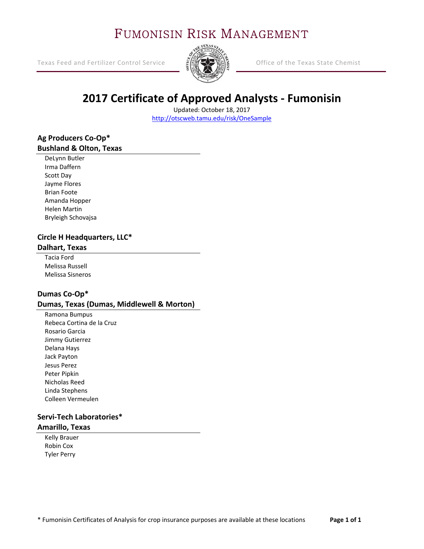## FUMONISIN RISK MANAGEMENT

Texas Feed and Fertilizer Control Service Office of the Texas State Chemist



## **2017 Certificate of Approved Analysts ‐ Fumonisin**

Updated: October 18, 2017 http://otscweb.tamu.edu/risk/OneSample

### **Ag Producers Co‐Op\* Bushland & Olton, Texas**

DeLynn Butler Irma Daffern Scott Day Jayme Flores Brian Foote Amanda Hopper Helen Martin Bryleigh Schovajsa

## **Circle H Headquarters, LLC\***

#### **Dalhart, Texas**

Tacia Ford Melissa Russell Melissa Sisneros

### **Dumas Co‐Op\***

#### **Dumas, Texas (Dumas, Middlewell & Morton)**

Ramona Bumpus Rebeca Cortina de la Cruz Rosario Garcia Jimmy Gutierrez Delana Hays Jack Payton Jesus Perez Peter Pipkin Nicholas Reed Linda Stephens Colleen Vermeulen

#### **Servi‐Tech Laboratories\* Amarillo, Texas**

Kelly Brauer Robin Cox Tyler Perry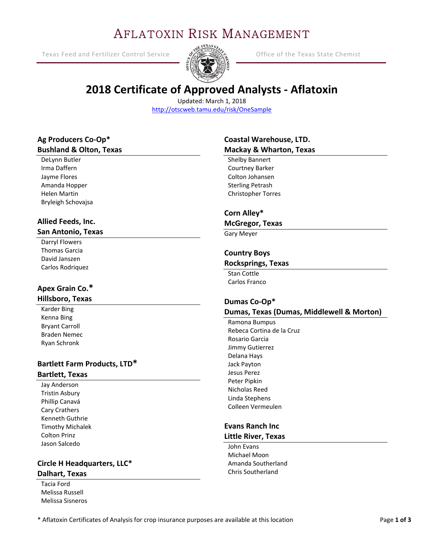## AFLATOXIN RISK MANAGEMENT

Texas Feed and Fertilizer Control Service  $\frac{S}{S}$   $\frac{S}{S}$  Office of the Texas State Chemist



## **2018 Certificate of Approved Analysts ‐ Aflatoxin**

Updated: March 1, 2018 http://otscweb.tamu.edu/risk/OneSample

### **Ag Producers Co‐Op\* Bushland & Olton, Texas**

DeLynn Butler Irma Daffern Jayme Flores Amanda Hopper Helen Martin Bryleigh Schovajsa

Ϊ

# **Allied Feeds, Inc.**

### **San Antonio, Texas**

Darryl Flowers Thomas Garcia David Janszen Carlos Rodriquez

#### **Apex Grain Co.\* Hillsboro, Texas**

Karder Bing Kenna Bing Bryant Carroll Braden Nemec Ryan Schronk

## **Bartlett Farm Products, LTD\***

### **Bartlett, Texas**

Jay Anderson Tristin Asbury Phillip Canavá Cary Crathers Kenneth Guthrie Timothy Michalek Colton Prinz Jason Salcedo

#### **Circle H Headquarters, LLC\* Dalhart, Texas**

Tacia Ford Melissa Russell Melissa Sisneros

### **Coastal Warehouse, LTD. Mackay & Wharton, Texas**

Shelby Bannert Courtney Barker Colton Johansen Sterling Petrash Christopher Torres

#### **Corn Alley\***

#### **McGregor, Texas**

Gary Meyer

#### **Country Boys**

#### **Rocksprings, Texas**

Stan Cottle Carlos Franco

#### **Dumas Co‐Op\* Dumas, Texas (Dumas, Middlewell & Morton)**

Ramona Bumpus Rebeca Cortina de la Cruz Rosario Garcia Jimmy Gutierrez Delana Hays Jack Payton Jesus Perez Peter Pipkin Nicholas Reed Linda Stephens Colleen Vermeulen

#### **Evans Ranch Inc Little River, Texas**

John Evans Michael Moon Amanda Southerland Chris Southerland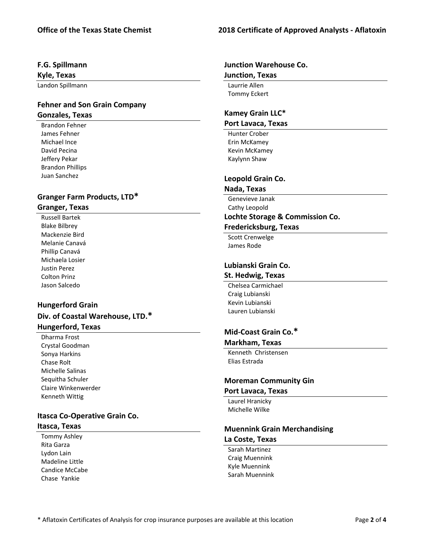#### **F.G. Spillmann**

**Kyle, Texas** 

Landon Spillmann

#### **Fehner and Son Grain Company Gonzales, Texas**

Brandon Fehner James Fehner Michael Ince David Pecina Jeffery Pekar Brandon Phillips Juan Sanchez

#### **Granger Farm Products, LTD\* Granger, Texas**

Russell Bartek Blake Bilbrey Mackenzie Bird Melanie Canavá Phillip Canavá Michaela Losier Justin Perez Colton Prinz Jason Salcedo

### **Hungerford Grain Div. of Coastal Warehouse, LTD.\* Hungerford, Texas**

Dharma Frost Crystal Goodman Sonya Harkins Chase Rolt Michelle Salinas Sequitha Schuler Claire Winkenwerder Kenneth Wittig

#### **Itasca Co‐Operative Grain Co. Itasca, Texas**

Tommy Ashley Rita Garza Lydon Lain Madeline Little Candice McCabe Chase Yankie

#### **Junction Warehouse Co. Junction, Texas**

Laurrie Allen Tommy Eckert

### **Kamey Grain LLC\***

#### **Port Lavaca, Texas**

Hunter Crober Erin McKamey Kevin McKamey Kaylynn Shaw

#### **Leopold Grain Co.**

#### example of the state of the state of the state of the state of the state of the state of the state of the state of the state of the state of the state of the state of the state of the state of the state of the state of the **Nada, Texas**

Genevieve Janak Cathy Leopold

### **Lochte Storage & Commission Co.**

### **Fredericksburg, Texas**

Scott Crenwelge James Rode

#### **Lubianski Grain Co.**

#### **St. Hedwig, Texas**

 Craig Lubianski Chelsea Carmichael Kevin Lubianski Lauren Lubianski

#### **Mid‐Coast Grain Co.\***

#### **Markham, Texas**

Kenneth Christensen Elias Estrada

### **Moreman Community Gin**

#### **Port Lavaca, Texas**

Laurel Hranicky Michelle Wilke

#### **Muennink Grain Merchandising La Coste, Texas**

Sarah Martinez Craig Muennink Kyle Muennink Sarah Muennink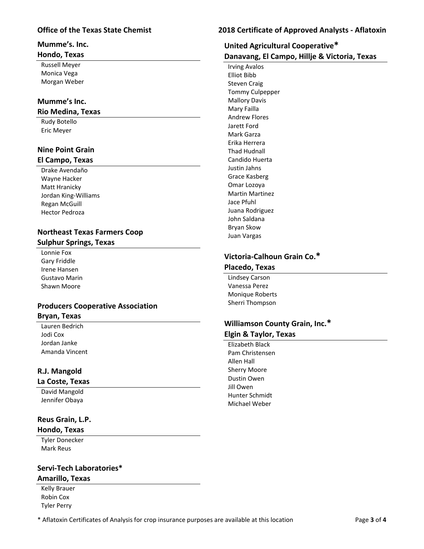#### **Mumme's. Inc.**

#### **Hondo, Texas**

Russell Meyer Monica Vega Morgan Weber

#### **Mumme's Inc.**

#### **Rio Medina, Texas**

Rudy Botello Eric Meyer

#### **Nine Point Grain**

#### **El Campo, Texas**

Drake Avendaño Wayne Hacker Matt Hranicky Jordan King‐Williams Regan McGuill Hector Pedroza

#### **Northeast Texas Farmers Coop Sulphur Springs, Texas**

Lonnie Fox Gary Friddle Irene Hansen Gustavo Marin Shawn Moore

#### **Producers Cooperative Association Bryan, Texas**

Lauren Bedrich Jodi Cox Jordan Janke Amanda Vincent

#### **R.J. Mangold**

#### **La Coste, Texas**

David Mangold Jennifer Obaya

### **Reus Grain, L.P.**

#### **Hondo, Texas**

Tyler Donecker Mark Reus

#### **Servi‐Tech Laboratories\* Amarillo, Texas**

Kelly Brauer Robin Cox Tyler Perry

### **Office of the Texas State Chemist 2018 Certificate of Approved Analysts ‐ Aflatoxin**

## **United Agricultural Cooperative\***

**Danavang, El Campo, Hillje & Victoria, Texas** 

 *The Called State Service Service State Service Service Service Service Service Service Service Service Service Service Service Service Service Service Service Service Service Service Service Service Service Service Serv*  Irving Avalos Elliot Bibb Steven Craig Tommy Culpepper Mallory Davis Mary Failla Andrew Flores Jarett Ford Mark Garza Erika Herrera Thad Hudnall Candido Huerta Justin Jahns Grace Kasberg Omar Lozoya Martin Martinez Jace Pfuhl Juana Rodriguez John Saldana Bryan Skow Juan Vargas

## **Victoria‐Calhoun Grain Co.\***

#### **Placedo, Texas**

Lindsey Carson Vanessa Perez Monique Roberts Sherri Thompson

#### **Williamson County Grain, Inc.\* Elgin & Taylor, Texas**

Elizabeth Black Pam Christensen Allen Hall Sherry Moore Dustin Owen Jill Owen Hunter Schmidt Michael Weber